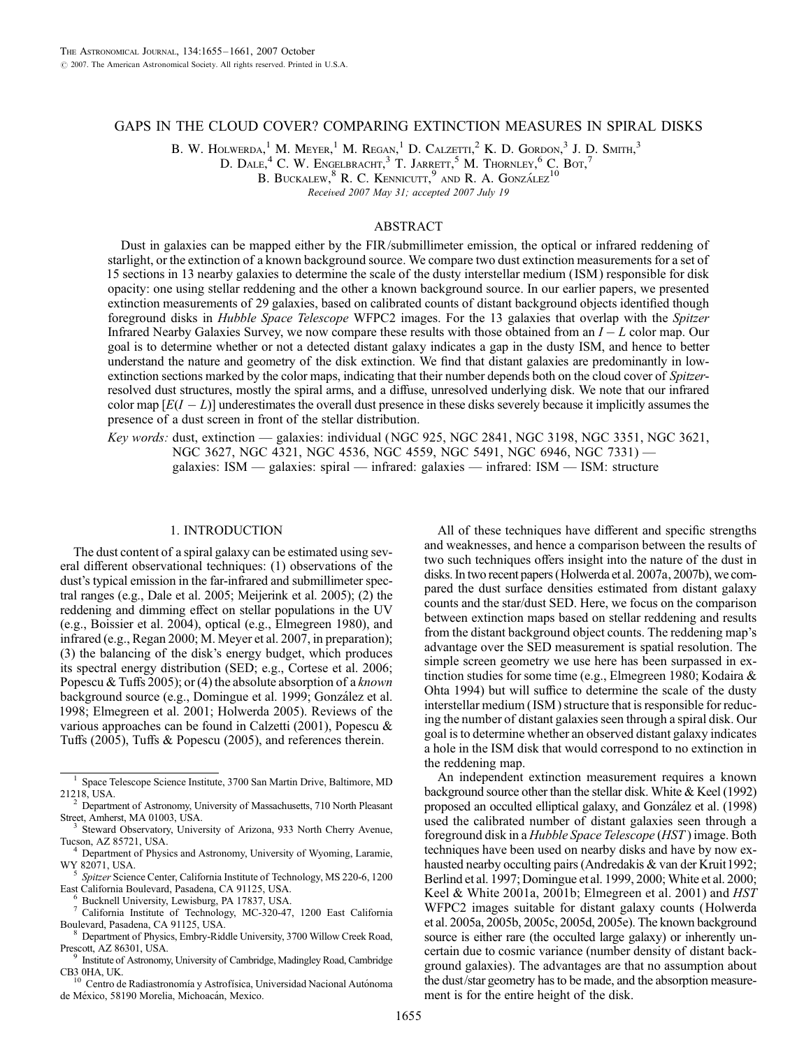# GAPS IN THE CLOUD COVER? COMPARING EXTINCTION MEASURES IN SPIRAL DISKS

B. W. HOLWERDA,<sup>1</sup> M. Meyer,<sup>1</sup> M. Regan,<sup>1</sup> D. Calzetti,<sup>2</sup> K. D. Gordon,<sup>3</sup> J. D. Smith,<sup>3</sup>

D. DALE,  $4^4$  C. W. Engelbracht,  $^3$  T. Jarrett,  $^5$  M. Thornley,  $^6$  C. Bot,  $^7$ 

B. BUCKALEW,  $8$  R. C. KENNICUTT,  $9$  and R. A. GONZÁLEZ<sup>10</sup>

Received 2007 May 31; accepted 2007 July 19

## ABSTRACT

Dust in galaxies can be mapped either by the FIR/submillimeter emission, the optical or infrared reddening of starlight, or the extinction of a known background source. We compare two dust extinction measurements for a set of 15 sections in 13 nearby galaxies to determine the scale of the dusty interstellar medium ( ISM ) responsible for disk opacity: one using stellar reddening and the other a known background source. In our earlier papers, we presented extinction measurements of 29 galaxies, based on calibrated counts of distant background objects identified though foreground disks in Hubble Space Telescope WFPC2 images. For the 13 galaxies that overlap with the Spitzer Infrared Nearby Galaxies Survey, we now compare these results with those obtained from an  $I - L$  color map. Our goal is to determine whether or not a detected distant galaxy indicates a gap in the dusty ISM, and hence to better understand the nature and geometry of the disk extinction. We find that distant galaxies are predominantly in lowextinction sections marked by the color maps, indicating that their number depends both on the cloud cover of Spitzerresolved dust structures, mostly the spiral arms, and a diffuse, unresolved underlying disk. We note that our infrared color map  $[E(I - L)]$  underestimates the overall dust presence in these disks severely because it implicitly assumes the presence of a dust screen in front of the stellar distribution.

Key words: dust, extinction — galaxies: individual (NGC 925, NGC 2841, NGC 3198, NGC 3351, NGC 3621, NGC 3627, NGC 4321, NGC 4536, NGC 4559, NGC 5491, NGC 6946, NGC 7331) galaxies: ISM — galaxies: spiral — infrared: galaxies — infrared: ISM — ISM: structure

### 1. INTRODUCTION

The dust content of a spiral galaxy can be estimated using several different observational techniques: (1) observations of the dust's typical emission in the far-infrared and submillimeter spectral ranges (e.g., Dale et al. 2005; Meijerink et al. 2005); (2) the reddening and dimming effect on stellar populations in the UV (e.g., Boissier et al. 2004), optical (e.g., Elmegreen 1980), and infrared (e.g., Regan 2000; M. Meyer et al. 2007, in preparation); (3) the balancing of the disk's energy budget, which produces its spectral energy distribution (SED; e.g., Cortese et al. 2006; Popescu & Tuffs 2005); or (4) the absolute absorption of a known background source (e.g., Domingue et al. 1999; González et al. 1998; Elmegreen et al. 2001; Holwerda 2005). Reviews of the various approaches can be found in Calzetti (2001), Popescu & Tuffs (2005), Tuffs & Popescu (2005), and references therein.

All of these techniques have different and specific strengths and weaknesses, and hence a comparison between the results of two such techniques offers insight into the nature of the dust in disks. In two recent papers (Holwerda et al. 2007a, 2007b), we compared the dust surface densities estimated from distant galaxy counts and the star/dust SED. Here, we focus on the comparison between extinction maps based on stellar reddening and results from the distant background object counts. The reddening map's advantage over the SED measurement is spatial resolution. The simple screen geometry we use here has been surpassed in extinction studies for some time (e.g., Elmegreen 1980; Kodaira & Ohta 1994) but will suffice to determine the scale of the dusty interstellar medium ( ISM ) structure that is responsible for reducing the number of distant galaxies seen through a spiral disk. Our goal is to determine whether an observed distant galaxy indicates a hole in the ISM disk that would correspond to no extinction in the reddening map.

An independent extinction measurement requires a known background source other than the stellar disk. White & Keel (1992) proposed an occulted elliptical galaxy, and González et al. (1998) used the calibrated number of distant galaxies seen through a foreground disk in a Hubble Space Telescope (HST ) image. Both techniques have been used on nearby disks and have by now exhausted nearby occulting pairs (Andredakis & van der Kruit 1992; Berlind et al. 1997; Domingue et al. 1999, 2000; White et al. 2000; Keel & White 2001a, 2001b; Elmegreen et al. 2001) and HST WFPC2 images suitable for distant galaxy counts (Holwerda et al. 2005a, 2005b, 2005c, 2005d, 2005e). The known background source is either rare (the occulted large galaxy) or inherently uncertain due to cosmic variance (number density of distant background galaxies). The advantages are that no assumption about the dust/star geometry has to be made, and the absorption measurement is for the entire height of the disk.

<sup>&</sup>lt;sup>1</sup> Space Telescope Science Institute, 3700 San Martin Drive, Baltimore, MD 21218, USA.

<sup>&</sup>lt;sup>2</sup> Department of Astronomy, University of Massachusetts, 710 North Pleasant Street, Amherst, MA 01003, USA.<br><sup>3</sup> Steward Observatory, University of American Pleasant

<sup>&</sup>lt;sup>3</sup> Steward Observatory, University of Arizona, 933 North Cherry Avenue, Tucson, AZ 85721, USA.

 $4$  Department of Physics and Astronomy, University of Wyoming, Laramie, WY 82071, USA.<br><sup>5</sup> Spitzer Science Center, California Institute of Technology, MS 220-6, 1200

East California Boulevard, Pasadena, CA 91125, USA.<br>
<sup>6</sup> Bucknell University, Lewisburg, PA 17837, USA.<br>
<sup>7</sup> California Institute of Technology, MC-320-47, 1200 East California Boulevard, Pasadena, CA 91125, USA. <sup>8</sup> Department of Physics, Embry-Riddle University, 3700 Willow Creek Road,

Prescott, AZ 86301, USA. 9 Institute of Astronomy, University of Cambridge, Madingley Road, Cambridge

CB3 0HA, UK. $^{\rm 10}$  Centro de Radiastronomía y Astrofísica, Universidad Nacional Autónoma

de México, 58190 Morelia, Michoacán, Mexico.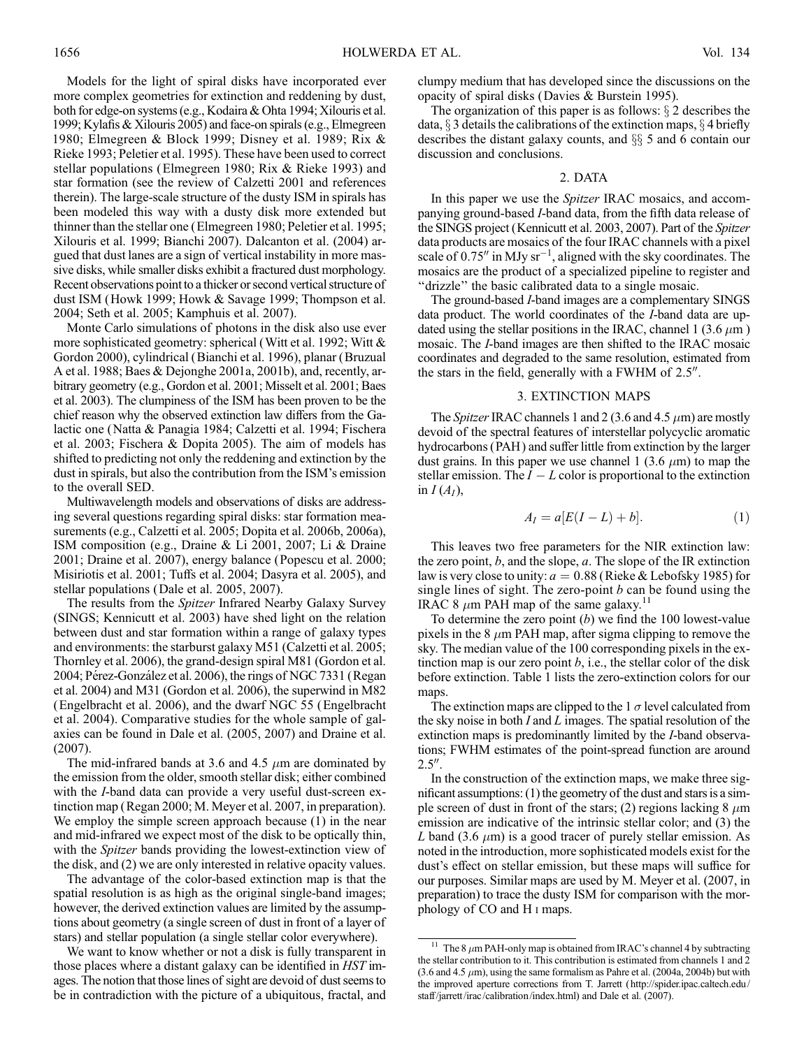Models for the light of spiral disks have incorporated ever more complex geometries for extinction and reddening by dust, both for edge-on systems (e.g., Kodaira & Ohta 1994; Xilouris et al. 1999; Kylafis & Xilouris 2005) and face-on spirals (e.g., Elmegreen 1980; Elmegreen & Block 1999; Disney et al. 1989; Rix & Rieke 1993; Peletier et al. 1995). These have been used to correct stellar populations (Elmegreen 1980; Rix & Rieke 1993) and star formation (see the review of Calzetti 2001 and references therein). The large-scale structure of the dusty ISM in spirals has been modeled this way with a dusty disk more extended but thinner than the stellar one (Elmegreen 1980; Peletier et al. 1995; Xilouris et al. 1999; Bianchi 2007). Dalcanton et al. (2004) argued that dust lanes are a sign of vertical instability in more massive disks, while smaller disks exhibit a fractured dust morphology. Recent observations point to a thicker or second vertical structure of dust ISM (Howk 1999; Howk & Savage 1999; Thompson et al. 2004; Seth et al. 2005; Kamphuis et al. 2007).

Monte Carlo simulations of photons in the disk also use ever more sophisticated geometry: spherical (Witt et al. 1992; Witt & Gordon 2000), cylindrical (Bianchi et al. 1996), planar (Bruzual A et al. 1988; Baes & Dejonghe 2001a, 2001b), and, recently, arbitrary geometry (e.g., Gordon et al. 2001; Misselt et al. 2001; Baes et al. 2003). The clumpiness of the ISM has been proven to be the chief reason why the observed extinction law differs from the Galactic one (Natta & Panagia 1984; Calzetti et al. 1994; Fischera et al. 2003; Fischera & Dopita 2005). The aim of models has shifted to predicting not only the reddening and extinction by the dust in spirals, but also the contribution from the ISM's emission to the overall SED.

Multiwavelength models and observations of disks are addressing several questions regarding spiral disks: star formation measurements (e.g., Calzetti et al. 2005; Dopita et al. 2006b, 2006a), ISM composition (e.g., Draine & Li 2001, 2007; Li & Draine 2001; Draine et al. 2007), energy balance (Popescu et al. 2000; Misiriotis et al. 2001; Tuffs et al. 2004; Dasyra et al. 2005), and stellar populations (Dale et al. 2005, 2007).

The results from the *Spitzer* Infrared Nearby Galaxy Survey (SINGS; Kennicutt et al. 2003) have shed light on the relation between dust and star formation within a range of galaxy types and environments: the starburst galaxy M51 (Calzetti et al. 2005; Thornley et al. 2006), the grand-design spiral M81 (Gordon et al. 2004; Pérez-González et al. 2006), the rings of NGC 7331 (Regan et al. 2004) and M31 (Gordon et al. 2006), the superwind in M82 (Engelbracht et al. 2006), and the dwarf NGC 55 (Engelbracht et al. 2004). Comparative studies for the whole sample of galaxies can be found in Dale et al. (2005, 2007) and Draine et al. (2007).

The mid-infrared bands at 3.6 and 4.5  $\mu$ m are dominated by the emission from the older, smooth stellar disk; either combined with the I-band data can provide a very useful dust-screen extinction map (Regan 2000; M. Meyer et al. 2007, in preparation). We employ the simple screen approach because (1) in the near and mid-infrared we expect most of the disk to be optically thin, with the *Spitzer* bands providing the lowest-extinction view of the disk, and (2) we are only interested in relative opacity values.

The advantage of the color-based extinction map is that the spatial resolution is as high as the original single-band images; however, the derived extinction values are limited by the assumptions about geometry (a single screen of dust in front of a layer of stars) and stellar population (a single stellar color everywhere).

We want to know whether or not a disk is fully transparent in those places where a distant galaxy can be identified in HST images. The notion that those lines of sight are devoid of dust seems to be in contradiction with the picture of a ubiquitous, fractal, and clumpy medium that has developed since the discussions on the opacity of spiral disks (Davies & Burstein 1995).

The organization of this paper is as follows:  $\S$  2 describes the data,  $\S$  3 details the calibrations of the extinction maps,  $\S$  4 briefly describes the distant galaxy counts, and  $\S$  5 and 6 contain our discussion and conclusions.

### 2. DATA

In this paper we use the *Spitzer* IRAC mosaics, and accompanying ground-based I-band data, from the fifth data release of the SINGS project (Kennicutt et al. 2003, 2007). Part of the Spitzer data products are mosaics of the four IRAC channels with a pixel scale of 0.75" in MJy  $sr^{-1}$ , aligned with the sky coordinates. The mosaics are the product of a specialized pipeline to register and ''drizzle'' the basic calibrated data to a single mosaic.

The ground-based I-band images are a complementary SINGS data product. The world coordinates of the I-band data are updated using the stellar positions in the IRAC, channel 1 (3.6  $\mu$ m) mosaic. The I-band images are then shifted to the IRAC mosaic coordinates and degraded to the same resolution, estimated from the stars in the field, generally with a FWHM of  $2.5$ <sup>"</sup>.

#### 3. EXTINCTION MAPS

The Spitzer IRAC channels 1 and 2 (3.6 and 4.5  $\mu$ m) are mostly devoid of the spectral features of interstellar polycyclic aromatic hydrocarbons (PAH) and suffer little from extinction by the larger dust grains. In this paper we use channel 1 (3.6  $\mu$ m) to map the stellar emission. The  $I - L$  color is proportional to the extinction in  $I(A_I)$ ,

$$
A_I = a[E(I - L) + b]. \tag{1}
$$

This leaves two free parameters for the NIR extinction law: the zero point,  $b$ , and the slope,  $a$ . The slope of the IR extinction law is very close to unity:  $a = 0.88$  (Rieke & Lebofsky 1985) for single lines of sight. The zero-point  $b$  can be found using the IRAC 8  $\mu$ m PAH map of the same galaxy.<sup>11</sup>

To determine the zero point  $(b)$  we find the 100 lowest-value pixels in the 8  $\mu$ m PAH map, after sigma clipping to remove the sky. The median value of the 100 corresponding pixels in the extinction map is our zero point  $b$ , i.e., the stellar color of the disk before extinction. Table 1 lists the zero-extinction colors for our maps.

The extinction maps are clipped to the 1  $\sigma$  level calculated from the sky noise in both  $I$  and  $L$  images. The spatial resolution of the extinction maps is predominantly limited by the I-band observations; FWHM estimates of the point-spread function are around  $2.5''$ .

In the construction of the extinction maps, we make three significant assumptions: (1) the geometry of the dust and stars is a simple screen of dust in front of the stars; (2) regions lacking  $8 \mu m$ emission are indicative of the intrinsic stellar color; and (3) the L band (3.6  $\mu$ m) is a good tracer of purely stellar emission. As noted in the introduction, more sophisticated models exist for the dust's effect on stellar emission, but these maps will suffice for our purposes. Similar maps are used by M. Meyer et al. (2007, in preparation) to trace the dusty ISM for comparison with the morphology of CO and H i maps.

<sup>&</sup>lt;sup>11</sup> The 8  $\mu$ m PAH-only map is obtained from IRAC's channel 4 by subtracting the stellar contribution to it. This contribution is estimated from channels 1 and 2  $(3.6 \text{ and } 4.5 \mu \text{m})$ , using the same formalism as Pahre et al.  $(2004a, 2004b)$  but with the improved aperture corrections from T. Jarrett ( http://spider.ipac.caltech.edu/ staff/jarrett/irac/calibration/index.html) and Dale et al. (2007).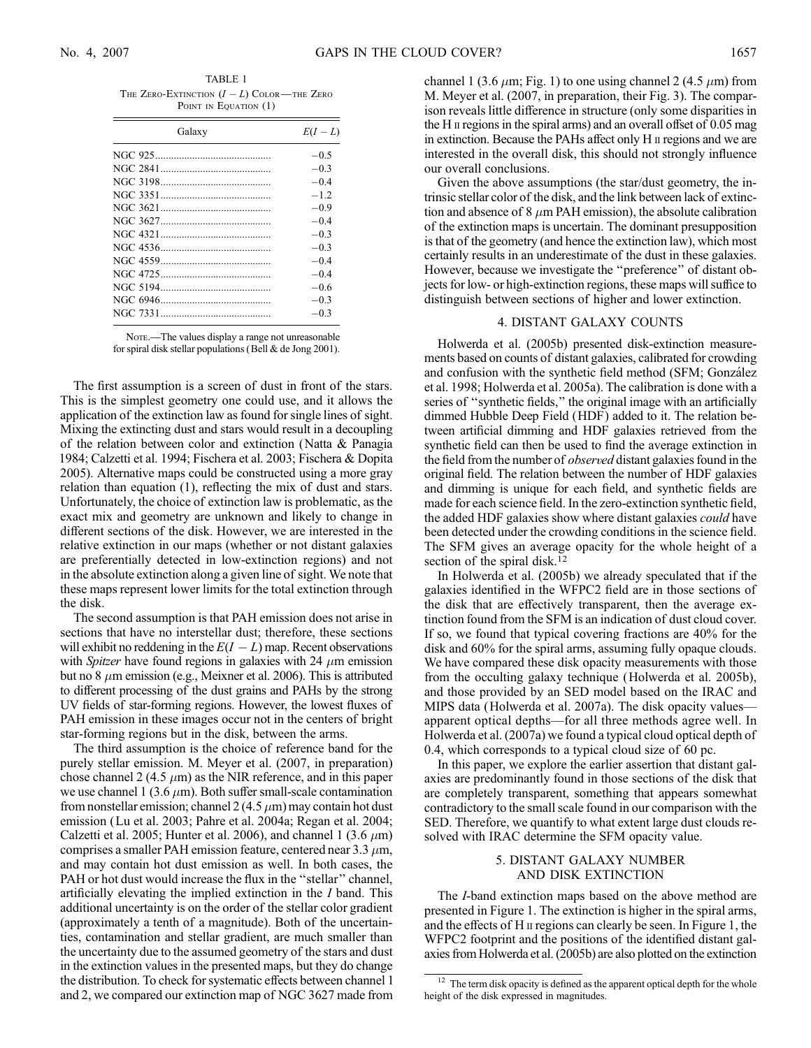TABLE 1 THE ZERO-EXTINCTION  $(I - L)$  COLOR—THE ZERO POINT IN EQUATION (1)

| $E(I-L)$ |
|----------|
| $-0.5$   |
| $-0.3$   |
| $-0.4$   |
| $-12$    |
| $-0.9$   |
| $-0.4$   |
| $-0.3$   |
| $-0.3$   |
| $-0.4$   |
| $-0.4$   |
| $-0.6$   |
| $-0.3$   |
| $-0.3$   |
|          |

NOTE.—The values display a range not unreasonable for spiral disk stellar populations (Bell & de Jong 2001).

The first assumption is a screen of dust in front of the stars. This is the simplest geometry one could use, and it allows the application of the extinction law as found for single lines of sight. Mixing the extincting dust and stars would result in a decoupling of the relation between color and extinction (Natta & Panagia 1984; Calzetti et al. 1994; Fischera et al. 2003; Fischera & Dopita 2005). Alternative maps could be constructed using a more gray relation than equation (1), reflecting the mix of dust and stars. Unfortunately, the choice of extinction law is problematic, as the exact mix and geometry are unknown and likely to change in different sections of the disk. However, we are interested in the relative extinction in our maps (whether or not distant galaxies are preferentially detected in low-extinction regions) and not in the absolute extinction along a given line of sight. We note that these maps represent lower limits for the total extinction through the disk.

The second assumption is that PAH emission does not arise in sections that have no interstellar dust; therefore, these sections will exhibit no reddening in the  $E(I - L)$  map. Recent observations with Spitzer have found regions in galaxies with 24  $\mu$ m emission but no  $8 \mu$ m emission (e.g., Meixner et al. 2006). This is attributed to different processing of the dust grains and PAHs by the strong UV fields of star-forming regions. However, the lowest fluxes of PAH emission in these images occur not in the centers of bright star-forming regions but in the disk, between the arms.

The third assumption is the choice of reference band for the purely stellar emission. M. Meyer et al. (2007, in preparation) chose channel 2 (4.5  $\mu$ m) as the NIR reference, and in this paper we use channel 1 (3.6  $\mu$ m). Both suffer small-scale contamination from nonstellar emission; channel 2 (4.5  $\mu$ m) may contain hot dust emission (Lu et al. 2003; Pahre et al. 2004a; Regan et al. 2004; Calzetti et al. 2005; Hunter et al. 2006), and channel 1 (3.6  $\mu$ m) comprises a smaller PAH emission feature, centered near  $3.3 \mu m$ , and may contain hot dust emission as well. In both cases, the PAH or hot dust would increase the flux in the "stellar" channel, artificially elevating the implied extinction in the I band. This additional uncertainty is on the order of the stellar color gradient (approximately a tenth of a magnitude). Both of the uncertainties, contamination and stellar gradient, are much smaller than the uncertainty due to the assumed geometry of the stars and dust in the extinction values in the presented maps, but they do change the distribution. To check for systematic effects between channel 1 and 2, we compared our extinction map of NGC 3627 made from channel 1 (3.6  $\mu$ m; Fig. 1) to one using channel 2 (4.5  $\mu$ m) from M. Meyer et al. (2007, in preparation, their Fig. 3). The comparison reveals little difference in structure (only some disparities in the H  $\mu$  regions in the spiral arms) and an overall offset of 0.05 mag in extinction. Because the PAHs affect only H ii regions and we are interested in the overall disk, this should not strongly influence our overall conclusions.

Given the above assumptions (the star/dust geometry, the intrinsic stellar color of the disk, and the link between lack of extinction and absence of 8  $\mu$ m PAH emission), the absolute calibration of the extinction maps is uncertain. The dominant presupposition is that of the geometry (and hence the extinction law), which most certainly results in an underestimate of the dust in these galaxies. However, because we investigate the ''preference'' of distant objects for low- or high-extinction regions, these maps will suffice to distinguish between sections of higher and lower extinction.

## 4. DISTANT GALAXY COUNTS

Holwerda et al. (2005b) presented disk-extinction measurements based on counts of distant galaxies, calibrated for crowding and confusion with the synthetic field method (SFM; González et al. 1998; Holwerda et al. 2005a). The calibration is done with a series of ''synthetic fields,'' the original image with an artificially dimmed Hubble Deep Field (HDF) added to it. The relation between artificial dimming and HDF galaxies retrieved from the synthetic field can then be used to find the average extinction in the field from the number of *observed* distant galaxies found in the original field. The relation between the number of HDF galaxies and dimming is unique for each field, and synthetic fields are made for each science field. In the zero-extinction synthetic field, the added HDF galaxies show where distant galaxies could have been detected under the crowding conditions in the science field. The SFM gives an average opacity for the whole height of a section of the spiral disk.<sup>12</sup>

In Holwerda et al. (2005b) we already speculated that if the galaxies identified in the WFPC2 field are in those sections of the disk that are effectively transparent, then the average extinction found from the SFM is an indication of dust cloud cover. If so, we found that typical covering fractions are 40% for the disk and 60% for the spiral arms, assuming fully opaque clouds. We have compared these disk opacity measurements with those from the occulting galaxy technique (Holwerda et al. 2005b), and those provided by an SED model based on the IRAC and MIPS data (Holwerda et al. 2007a). The disk opacity values apparent optical depths—for all three methods agree well. In Holwerda et al. (2007a) we found a typical cloud optical depth of 0.4, which corresponds to a typical cloud size of 60 pc.

In this paper, we explore the earlier assertion that distant galaxies are predominantly found in those sections of the disk that are completely transparent, something that appears somewhat contradictory to the small scale found in our comparison with the SED. Therefore, we quantify to what extent large dust clouds resolved with IRAC determine the SFM opacity value.

# 5. DISTANT GALAXY NUMBER AND DISK EXTINCTION

The I-band extinction maps based on the above method are presented in Figure 1. The extinction is higher in the spiral arms, and the effects of H ii regions can clearly be seen. In Figure 1, the WFPC2 footprint and the positions of the identified distant galaxies from Holwerda et al. (2005b) are also plotted on the extinction

 $12$  The term disk opacity is defined as the apparent optical depth for the whole height of the disk expressed in magnitudes.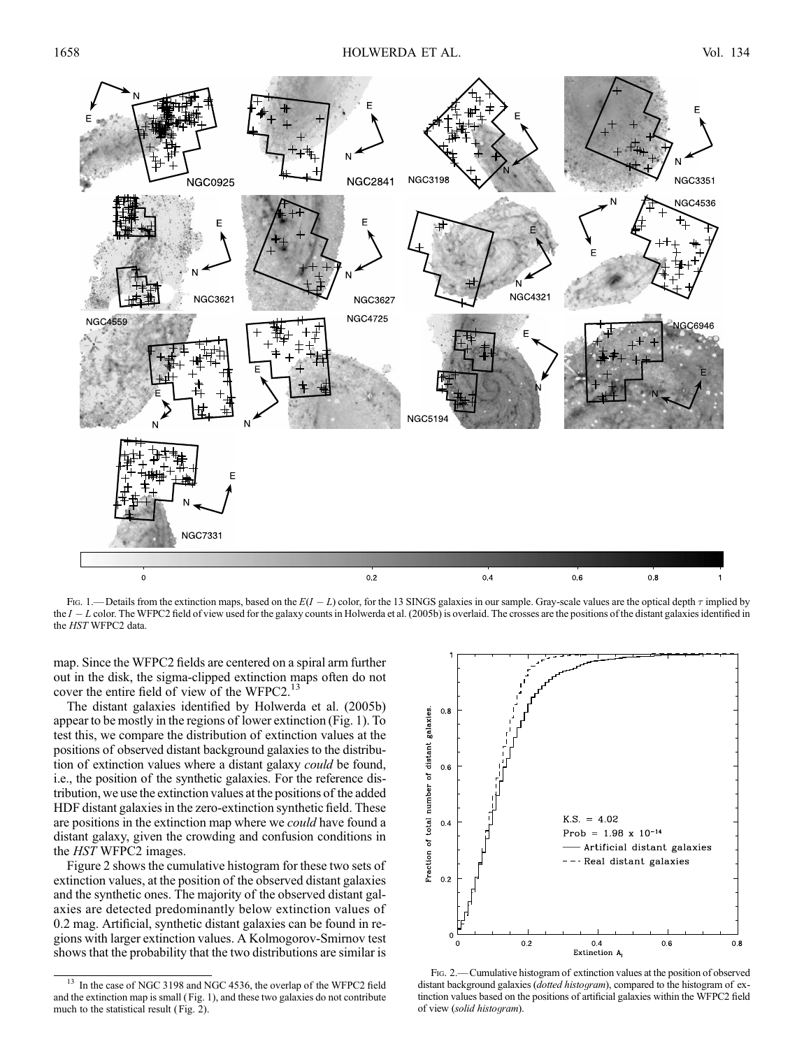

Fig. 1.—Details from the extinction maps, based on the  $E(I - L)$  color, for the 13 SINGS galaxies in our sample. Gray-scale values are the optical depth  $\tau$  implied by the  $I - L$  color. The WFPC2 field of view used for the galaxy counts in Holwerda et al. (2005b) is overlaid. The crosses are the positions of the distant galaxies identified in the HST WFPC2 data.

map. Since the WFPC2 fields are centered on a spiral arm further out in the disk, the sigma-clipped extinction maps often do not cover the entire field of view of the WFPC2.<sup>13</sup>

The distant galaxies identified by Holwerda et al. (2005b) appear to be mostly in the regions of lower extinction (Fig. 1). To test this, we compare the distribution of extinction values at the positions of observed distant background galaxies to the distribution of extinction values where a distant galaxy could be found, i.e., the position of the synthetic galaxies. For the reference distribution, we use the extinction values at the positions of the added HDF distant galaxies in the zero-extinction synthetic field. These are positions in the extinction map where we could have found a distant galaxy, given the crowding and confusion conditions in the HST WFPC2 images.

Figure 2 shows the cumulative histogram for these two sets of extinction values, at the position of the observed distant galaxies and the synthetic ones. The majority of the observed distant galaxies are detected predominantly below extinction values of 0.2 mag. Artificial, synthetic distant galaxies can be found in regions with larger extinction values. A Kolmogorov-Smirnov test shows that the probability that the two distributions are similar is

<sup>&</sup>lt;sup>13</sup> In the case of NGC 3198 and NGC 4536, the overlap of the WFPC2 field and the extinction map is small ( Fig. 1), and these two galaxies do not contribute much to the statistical result (Fig. 2).



Fig. 2.—Cumulative histogram of extinction values at the position of observed distant background galaxies (*dotted histogram*), compared to the histogram of extinction values based on the positions of artificial galaxies within the WFPC2 field of view (solid histogram).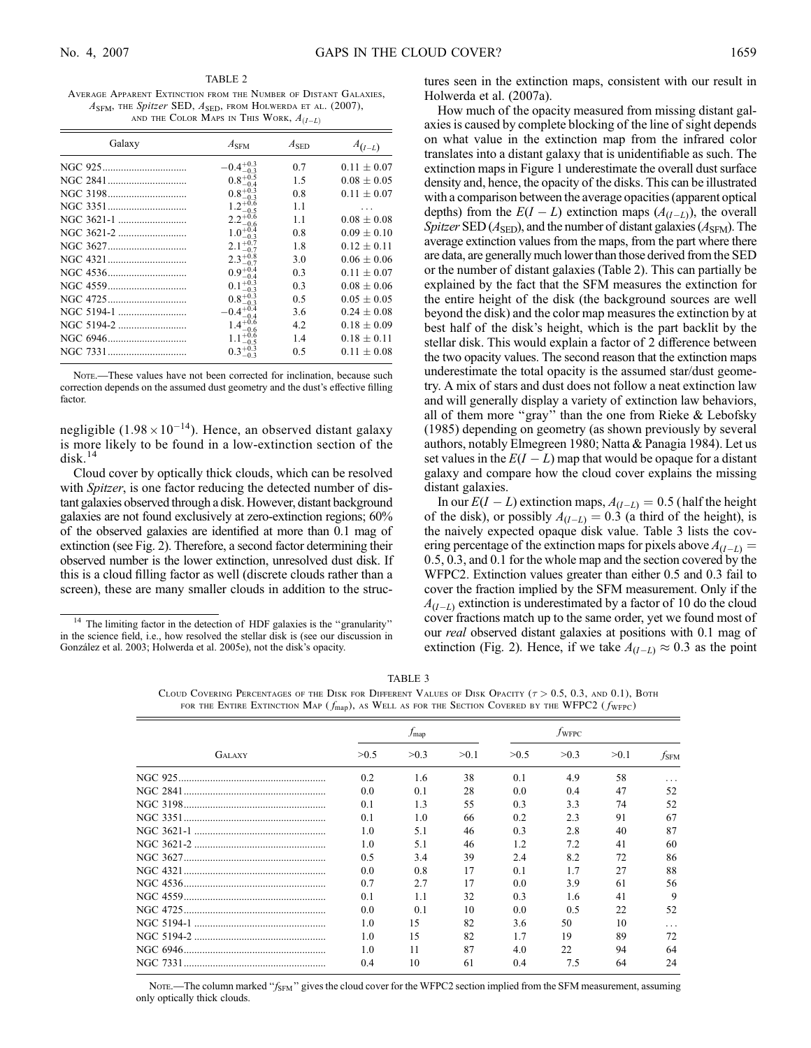TABLE 2 Average Apparent Extinction from the Number of Distant Galaxies,  $A<sub>SFM</sub>$ , the Spitzer SED,  $A<sub>SED</sub>$ , from Holwerda et al. (2007), AND THE COLOR MAPS IN THIS WORK,  $A_{(I-L)}$ 

| Galaxy | $A_{\rm SFM}$                 | $A_{\rm SED}$  | $A_{(I-L)}$     |
|--------|-------------------------------|----------------|-----------------|
|        | $-0.4_{-0.3}^{+0.3}$          | 0.7            | $0.11 \pm 0.07$ |
|        | $0.8^{+0.5}_{-0.4}$           | 1.5            | $0.08 \pm 0.05$ |
|        | $0.8^{+0.3}_{-0.3}$           | 0.8            | $0.11 \pm 0.07$ |
|        | $.2^{+0.6}_{-0.2}$<br>$-0.5$  | 1.1            |                 |
|        | $2.2^{+0.6}_{-0.6}$<br>$-0.6$ | 1.1            | $0.08 \pm 0.08$ |
|        | $1.0^{+0.4}$<br>-03           | 0.8            | $0.09 \pm 0.10$ |
|        | $2.1_{-0.7}^{+0.7}$           | 1.8            | $0.12 + 0.11$   |
|        | $2.3^{+0.8}_{-0.2}$           | 3.0            | $0.06 \pm 0.06$ |
|        | $0.9^{+0.4}$<br>-0.4          | 0.3            | $0.11 \pm 0.07$ |
|        | $0.1 + 0.3$<br>$-0.3$         | 0.3            | $0.08 \pm 0.06$ |
|        | $0.8^{+0.3}_{-0.3}$           | 0 <sub>5</sub> | $0.05 \pm 0.05$ |
|        | $-0.4^{+0.4}_{-0.4}$          | 3.6            | $0.24 \pm 0.08$ |
|        | $1.4^{+0.6}_{-0.6}$           | 4.2            | $0.18 \pm 0.09$ |
|        | $1.1^{+0.6}_{-0.5}$           | 1.4            | $0.18 \pm 0.11$ |
|        | $0.3 + 0.3$<br>03             | 0.5            | $0.11 \pm 0.08$ |
|        |                               |                |                 |

Note.—These values have not been corrected for inclination, because such correction depends on the assumed dust geometry and the dust's effective filling factor.

negligible  $(1.98 \times 10^{-14})$ . Hence, an observed distant galaxy is more likely to be found in a low-extinction section of the  $disk.<sup>14</sup>$ 

Cloud cover by optically thick clouds, which can be resolved with *Spitzer*, is one factor reducing the detected number of distant galaxies observed through a disk. However, distant background galaxies are not found exclusively at zero-extinction regions; 60% of the observed galaxies are identified at more than 0.1 mag of extinction (see Fig. 2). Therefore, a second factor determining their observed number is the lower extinction, unresolved dust disk. If this is a cloud filling factor as well (discrete clouds rather than a screen), these are many smaller clouds in addition to the structures seen in the extinction maps, consistent with our result in Holwerda et al. (2007a).

How much of the opacity measured from missing distant galaxies is caused by complete blocking of the line of sight depends on what value in the extinction map from the infrared color translates into a distant galaxy that is unidentifiable as such. The extinction maps in Figure 1 underestimate the overall dust surface density and, hence, the opacity of the disks. This can be illustrated with a comparison between the average opacities (apparent optical depths) from the  $E(I - L)$  extinction maps  $(A_{(I-L)})$ , the overall Spitzer SED ( $A<sub>SED</sub>$ ), and the number of distant galaxies ( $A<sub>SEM</sub>$ ). The average extinction values from the maps, from the part where there are data, are generally much lower than those derived from the SED or the number of distant galaxies (Table 2). This can partially be explained by the fact that the SFM measures the extinction for the entire height of the disk (the background sources are well beyond the disk) and the color map measures the extinction by at best half of the disk's height, which is the part backlit by the stellar disk. This would explain a factor of 2 difference between the two opacity values. The second reason that the extinction maps underestimate the total opacity is the assumed star/dust geometry. A mix of stars and dust does not follow a neat extinction law and will generally display a variety of extinction law behaviors, all of them more ''gray'' than the one from Rieke & Lebofsky (1985) depending on geometry (as shown previously by several authors, notably Elmegreen 1980; Natta & Panagia 1984). Let us set values in the  $E(I - L)$  map that would be opaque for a distant galaxy and compare how the cloud cover explains the missing distant galaxies.

In our  $E(I - L)$  extinction maps,  $A_{(I-L)} = 0.5$  (half the height of the disk), or possibly  $A_{(I-L)} = 0.3$  (a third of the height), is the naively expected opaque disk value. Table 3 lists the covering percentage of the extinction maps for pixels above  $A_{(I-L)} =$ 0:5, 0.3, and 0.1 for the whole map and the section covered by the WFPC2. Extinction values greater than either 0.5 and 0.3 fail to cover the fraction implied by the SFM measurement. Only if the  $A_{(I-L)}$  extinction is underestimated by a factor of 10 do the cloud cover fractions match up to the same order, yet we found most of our real observed distant galaxies at positions with 0.1 mag of extinction (Fig. 2). Hence, if we take  $A_{(I-L)} \approx 0.3$  as the point

| TABLE 3                                                                                                                   |  |  |  |  |  |  |  |  |
|---------------------------------------------------------------------------------------------------------------------------|--|--|--|--|--|--|--|--|
| CLOUD COVERING PERCENTAGES OF THE DISK FOR DIFFERENT VALUES OF DISK OPACITY ( $\tau > 0.5, 0.3$ , and 0.1), BOTH          |  |  |  |  |  |  |  |  |
| FOR THE ENTIRE EXTINCTION MAP ( $f_{\text{map}}$ ), AS WELL AS FOR THE SECTION COVERED BY THE WFPC2 ( $f_{\text{WFPC}}$ ) |  |  |  |  |  |  |  |  |

|               |      | $f_{\text{map}}$ |      | $f_{WFPC}$ |      |       |               |  |
|---------------|------|------------------|------|------------|------|-------|---------------|--|
| <b>GALAXY</b> | >0.5 | >0.3             | >0.1 | >0.5       | >0.3 | > 0.1 | $f_{\rm SFM}$ |  |
|               | 0.2  | 1.6              | 38   | 0.1        | 4.9  | 58    |               |  |
|               | 0.0  | 0.1              | 28   | 0.0        | 0.4  | 47    | 52            |  |
|               | 0.1  | 1.3              | 55   | 0.3        | 3.3  | 74    | 52            |  |
|               | 0.1  | 1.0              | 66   | 0.2        | 2.3  | 91    | 67            |  |
|               | 1.0  | 5.1              | 46   | 0.3        | 2.8  | 40    | 87            |  |
|               | 1.0  | 5.1              | 46   | 1.2        | 7.2  | 41    | 60            |  |
|               | 0.5  | 3.4              | 39   | 2.4        | 8.2  | 72    | 86            |  |
|               | 0.0  | 0.8              | 17   | 0.1        | 1.7  | 27    | 88            |  |
|               | 0.7  | 2.7              | 17   | 0.0        | 3.9  | 61    | 56            |  |
|               | 0.1  | 1 <sub>1</sub>   | 32   | 0.3        | 1.6  | 41    | 9             |  |
|               | 0.0  | 0.1              | 10   | 0.0        | 0.5  | 22    | 52            |  |
|               | 1.0  | 15               | 82   | 3.6        | 50   | 10    | .             |  |
|               | 1.0  | 15               | 82   | 1.7        | 19   | 89    | 72            |  |
|               | 1.0  | 11               | 87   | 4.0        | 22   | 94    | 64            |  |
|               | 0.4  | 10               | 61   | 0.4        | 7.5  | 64    | 24            |  |

Nore.—The column marked " $f_{\rm SFM}$ " gives the cloud cover for the WFPC2 section implied from the SFM measurement, assuming only optically thick clouds.

<sup>&</sup>lt;sup>14</sup> The limiting factor in the detection of HDF galaxies is the "granularity" in the science field, i.e., how resolved the stellar disk is (see our discussion in González et al. 2003; Holwerda et al. 2005e), not the disk's opacity.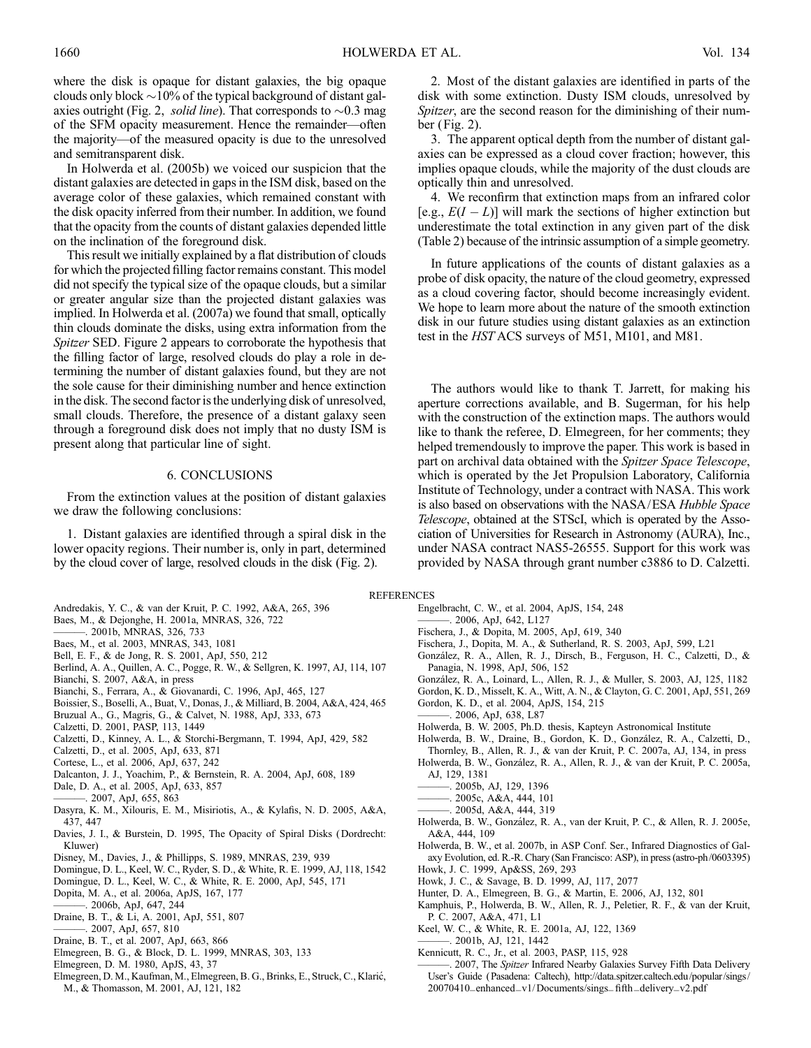where the disk is opaque for distant galaxies, the big opaque clouds only block  $\sim$ 10% of the typical background of distant galaxies outright (Fig. 2, *solid line*). That corresponds to  $\sim 0.3$  mag of the SFM opacity measurement. Hence the remainder—often the majority—of the measured opacity is due to the unresolved and semitransparent disk.

In Holwerda et al. (2005b) we voiced our suspicion that the distant galaxies are detected in gaps in the ISM disk, based on the average color of these galaxies, which remained constant with the disk opacity inferred from their number. In addition, we found that the opacity from the counts of distant galaxies depended little on the inclination of the foreground disk.

This result we initially explained by a flat distribution of clouds for which the projected filling factor remains constant. This model did not specify the typical size of the opaque clouds, but a similar or greater angular size than the projected distant galaxies was implied. In Holwerda et al. (2007a) we found that small, optically thin clouds dominate the disks, using extra information from the Spitzer SED. Figure 2 appears to corroborate the hypothesis that the filling factor of large, resolved clouds do play a role in determining the number of distant galaxies found, but they are not the sole cause for their diminishing number and hence extinction in the disk. The second factor is the underlying disk of unresolved, small clouds. Therefore, the presence of a distant galaxy seen through a foreground disk does not imply that no dusty ISM is present along that particular line of sight.

### 6. CONCLUSIONS

From the extinction values at the position of distant galaxies we draw the following conclusions:

1. Distant galaxies are identified through a spiral disk in the lower opacity regions. Their number is, only in part, determined by the cloud cover of large, resolved clouds in the disk (Fig. 2).

| Andredakis, Y. C., & van der Kruit, P. C. 1992, A&A, 265, 396 |  |  |  |  |  |  |
|---------------------------------------------------------------|--|--|--|--|--|--|
|                                                               |  |  |  |  |  |  |

- Baes, M., & Dejonghe, H. 2001a, MNRAS, 326, 722
- ———. 2001b, MNRAS, 326, 733
- Baes, M., et al. 2003, MNRAS, 343, 1081
- Bell, E. F., & de Jong, R. S. 2001, ApJ, 550, 212
- Berlind, A. A., Quillen, A. C., Pogge, R. W., & Sellgren, K. 1997, AJ, 114, 107
- Bianchi, S. 2007, A&A, in press
- Bianchi, S., Ferrara, A., & Giovanardi, C. 1996, ApJ, 465, 127
- Boissier, S., Boselli, A., Buat, V., Donas, J., & Milliard, B. 2004, A&A, 424, 465
- Bruzual A., G., Magris, G., & Calvet, N. 1988, ApJ, 333, 673
- Calzetti, D. 2001, PASP, 113, 1449
- Calzetti, D., Kinney, A. L., & Storchi-Bergmann, T. 1994, ApJ, 429, 582
- Calzetti, D., et al. 2005, ApJ, 633, 871
- Cortese, L., et al. 2006, ApJ, 637, 242
- Dalcanton, J. J., Yoachim, P., & Bernstein, R. A. 2004, ApJ, 608, 189
- Dale, D. A., et al. 2005, ApJ, 633, 857
- ———. 2007, ApJ, 655, 863
- Dasyra, K. M., Xilouris, E. M., Misiriotis, A., & Kylafis, N. D. 2005, A&A, 437, 447
- Davies, J. I., & Burstein, D. 1995, The Opacity of Spiral Disks ( Dordrecht: Kluwer)
- Disney, M., Davies, J., & Phillipps, S. 1989, MNRAS, 239, 939
- Domingue, D. L., Keel, W. C., Ryder, S. D., & White, R. E. 1999, AJ, 118, 1542
- Domingue, D. L., Keel, W. C., & White, R. E. 2000, ApJ, 545, 171
- Dopita, M. A., et al. 2006a, ApJS, 167, 177
- ———. 2006b, ApJ, 647, 244
- Draine, B. T., & Li, A. 2001, ApJ, 551, 807
- ———. 2007, ApJ, 657, 810
- Draine, B. T., et al. 2007, ApJ, 663, 866
- Elmegreen, B. G., & Block, D. L. 1999, MNRAS, 303, 133
- Elmegreen, D. M. 1980, ApJS, 43, 37
- Elmegreen, D. M., Kaufman, M., Elmegreen, B. G., Brinks, E., Struck, C., Klaric´, M., & Thomasson, M. 2001, AJ, 121, 182

2. Most of the distant galaxies are identified in parts of the disk with some extinction. Dusty ISM clouds, unresolved by Spitzer, are the second reason for the diminishing of their number (Fig. 2).

3. The apparent optical depth from the number of distant galaxies can be expressed as a cloud cover fraction; however, this implies opaque clouds, while the majority of the dust clouds are optically thin and unresolved.

4. We reconfirm that extinction maps from an infrared color [e.g.,  $E(I - L)$ ] will mark the sections of higher extinction but underestimate the total extinction in any given part of the disk (Table 2) because of the intrinsic assumption of a simple geometry.

In future applications of the counts of distant galaxies as a probe of disk opacity, the nature of the cloud geometry, expressed as a cloud covering factor, should become increasingly evident. We hope to learn more about the nature of the smooth extinction disk in our future studies using distant galaxies as an extinction test in the HST ACS surveys of M51, M101, and M81.

The authors would like to thank T. Jarrett, for making his aperture corrections available, and B. Sugerman, for his help with the construction of the extinction maps. The authors would like to thank the referee, D. Elmegreen, for her comments; they helped tremendously to improve the paper. This work is based in part on archival data obtained with the Spitzer Space Telescope, which is operated by the Jet Propulsion Laboratory, California Institute of Technology, under a contract with NASA. This work is also based on observations with the NASA/ESA Hubble Space Telescope, obtained at the STScI, which is operated by the Association of Universities for Research in Astronomy (AURA), Inc., under NASA contract NAS5-26555. Support for this work was provided by NASA through grant number c3886 to D. Calzetti.

### **REFERENCES**

- Engelbracht, C. W., et al. 2004, ApJS, 154, 248
- ———. 2006, ApJ, 642, L127
- Fischera, J., & Dopita, M. 2005, ApJ, 619, 340
- Fischera, J., Dopita, M. A., & Sutherland, R. S. 2003, ApJ, 599, L21
- González, R. A., Allen, R. J., Dirsch, B., Ferguson, H. C., Calzetti, D., & Panagia, N. 1998, ApJ, 506, 152
- Gonza´lez, R. A., Loinard, L., Allen, R. J., & Muller, S. 2003, AJ, 125, 1182
- Gordon, K. D., Misselt, K. A., Witt, A. N., & Clayton, G. C. 2001, ApJ, 551, 269
- Gordon, K. D., et al. 2004, ApJS, 154, 215
- ———. 2006, ApJ, 638, L87
- Holwerda, B. W. 2005, Ph.D. thesis, Kapteyn Astronomical Institute
- Holwerda, B. W., Draine, B., Gordon, K. D., González, R. A., Calzetti, D., Thornley, B., Allen, R. J., & van der Kruit, P. C. 2007a, AJ, 134, in press Holwerda, B. W., González, R. A., Allen, R. J., & van der Kruit, P. C. 2005a,
- AJ, 129, 1381
- ———. 2005b, AJ, 129, 1396 ———. 2005c, A&A, 444, 101
- ———. 2005d, A&A, 444, 319
- Holwerda, B. W., González, R. A., van der Kruit, P. C., & Allen, R. J. 2005e,
- A&A, 444, 109 Holwerda, B. W., et al. 2007b, in ASP Conf. Ser., Infrared Diagnostics of Gal-
- axy Evolution, ed. R.-R. Chary (San Francisco: ASP), in press (astro-ph/0603395) Howk, J. C. 1999, Ap&SS, 269, 293
- Howk, J. C., & Savage, B. D. 1999, AJ, 117, 2077
- Hunter, D. A., Elmegreen, B. G., & Martin, E. 2006, AJ, 132, 801
- Kamphuis, P., Holwerda, B. W., Allen, R. J., Peletier, R. F., & van der Kruit, P. C. 2007, A&A, 471, L1
- Keel, W. C., & White, R. E. 2001a, AJ, 122, 1369
- $-$ . 2001b, AJ, 121, 1442
- Kennicutt, R. C., Jr., et al. 2003, PASP, 115, 928
- -. 2007, The Spitzer Infrared Nearby Galaxies Survey Fifth Data Delivery User's Guide (Pasadena: Caltech), http://data.spitzer.caltech.edu/popular/sings/ 20070410\_enhanced\_v1/Documents/sings\_ fifth\_delivery\_v2.pdf